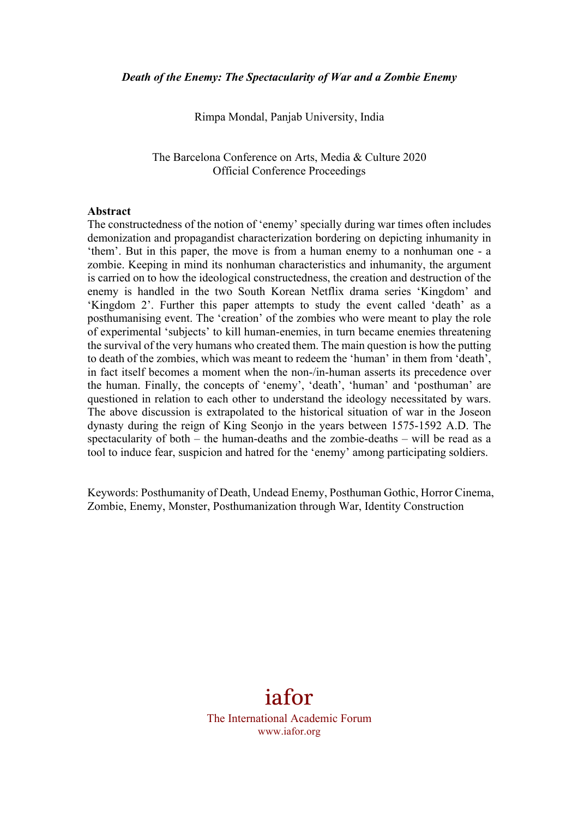Rimpa Mondal, Panjab University, India

The Barcelona Conference on Arts, Media & Culture 2020 Official Conference Proceedings

#### **Abstract**

The constructedness of the notion of 'enemy' specially during war times often includes demonization and propagandist characterization bordering on depicting inhumanity in 'them'. But in this paper, the move is from a human enemy to a nonhuman one - a zombie. Keeping in mind its nonhuman characteristics and inhumanity, the argument is carried on to how the ideological constructedness, the creation and destruction of the enemy is handled in the two South Korean Netflix drama series 'Kingdom' and 'Kingdom 2'. Further this paper attempts to study the event called 'death' as a posthumanising event. The 'creation' of the zombies who were meant to play the role of experimental 'subjects' to kill human-enemies, in turn became enemies threatening the survival of the very humans who created them. The main question is how the putting to death of the zombies, which was meant to redeem the 'human' in them from 'death', in fact itself becomes a moment when the non-/in-human asserts its precedence over the human. Finally, the concepts of 'enemy', 'death', 'human' and 'posthuman' are questioned in relation to each other to understand the ideology necessitated by wars. The above discussion is extrapolated to the historical situation of war in the Joseon dynasty during the reign of King Seonjo in the years between 1575-1592 A.D. The spectacularity of both – the human-deaths and the zombie-deaths – will be read as a tool to induce fear, suspicion and hatred for the 'enemy' among participating soldiers.

Keywords: Posthumanity of Death, Undead Enemy, Posthuman Gothic, Horror Cinema, Zombie, Enemy, Monster, Posthumanization through War, Identity Construction

# iafor

The International Academic Forum www.iafor.org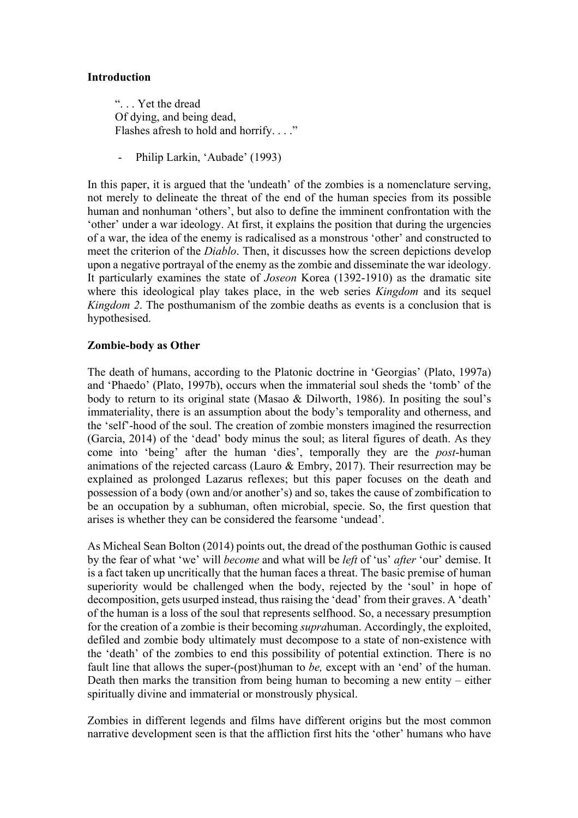#### **Introduction**

". . . Yet the dread Of dying, and being dead, Flashes afresh to hold and horrify...."

- Philip Larkin, 'Aubade' (1993)

In this paper, it is argued that the 'undeath' of the zombies is a nomenclature serving, not merely to delineate the threat of the end of the human species from its possible human and nonhuman 'others', but also to define the imminent confrontation with the 'other' under a war ideology. At first, it explains the position that during the urgencies of a war, the idea of the enemy is radicalised as a monstrous 'other' and constructed to meet the criterion of the *Diablo*. Then, it discusses how the screen depictions develop upon a negative portrayal of the enemy as the zombie and disseminate the war ideology. It particularly examines the state of *Joseon* Korea (1392-1910) as the dramatic site where this ideological play takes place, in the web series *Kingdom* and its sequel *Kingdom 2*. The posthumanism of the zombie deaths as events is a conclusion that is hypothesised.

#### **Zombie-body as Other**

The death of humans, according to the Platonic doctrine in 'Georgias' (Plato, 1997a) and 'Phaedo' (Plato, 1997b), occurs when the immaterial soul sheds the 'tomb' of the body to return to its original state (Masao & Dilworth, 1986). In positing the soul's immateriality, there is an assumption about the body's temporality and otherness, and the 'self'-hood of the soul. The creation of zombie monsters imagined the resurrection (Garcia, 2014) of the 'dead' body minus the soul; as literal figures of death. As they come into 'being' after the human 'dies', temporally they are the *post*-human animations of the rejected carcass (Lauro & Embry, 2017). Their resurrection may be explained as prolonged Lazarus reflexes; but this paper focuses on the death and possession of a body (own and/or another's) and so, takes the cause of zombification to be an occupation by a subhuman, often microbial, specie. So, the first question that arises is whether they can be considered the fearsome 'undead'.

As Micheal Sean Bolton (2014) points out, the dread of the posthuman Gothic is caused by the fear of what 'we' will *become* and what will be *left* of 'us' *after* 'our' demise. It is a fact taken up uncritically that the human faces a threat. The basic premise of human superiority would be challenged when the body, rejected by the 'soul' in hope of decomposition, gets usurped instead, thus raising the 'dead' from their graves. A 'death' of the human is a loss of the soul that represents selfhood. So, a necessary presumption for the creation of a zombie is their becoming *supra*human. Accordingly, the exploited, defiled and zombie body ultimately must decompose to a state of non-existence with the 'death' of the zombies to end this possibility of potential extinction. There is no fault line that allows the super-(post)human to *be,* except with an 'end' of the human. Death then marks the transition from being human to becoming a new entity – either spiritually divine and immaterial or monstrously physical.

Zombies in different legends and films have different origins but the most common narrative development seen is that the affliction first hits the 'other' humans who have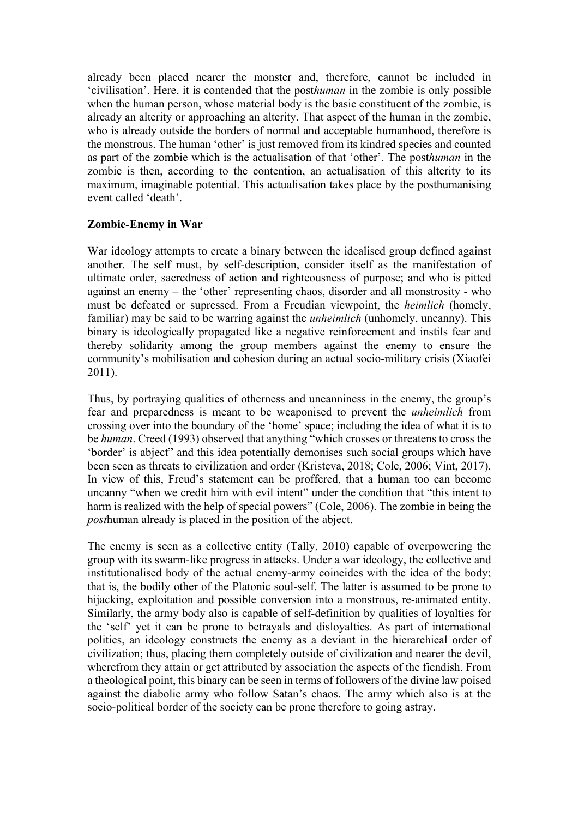already been placed nearer the monster and, therefore, cannot be included in 'civilisation'. Here, it is contended that the post*human* in the zombie is only possible when the human person, whose material body is the basic constituent of the zombie, is already an alterity or approaching an alterity. That aspect of the human in the zombie, who is already outside the borders of normal and acceptable humanhood, therefore is the monstrous. The human 'other' is just removed from its kindred species and counted as part of the zombie which is the actualisation of that 'other'. The post*human* in the zombie is then, according to the contention, an actualisation of this alterity to its maximum, imaginable potential. This actualisation takes place by the posthumanising event called 'death'.

#### **Zombie-Enemy in War**

War ideology attempts to create a binary between the idealised group defined against another. The self must, by self-description, consider itself as the manifestation of ultimate order, sacredness of action and righteousness of purpose; and who is pitted against an enemy – the 'other' representing chaos, disorder and all monstrosity - who must be defeated or supressed. From a Freudian viewpoint, the *heimlich* (homely, familiar) may be said to be warring against the *unheimlich* (unhomely, uncanny). This binary is ideologically propagated like a negative reinforcement and instils fear and thereby solidarity among the group members against the enemy to ensure the community's mobilisation and cohesion during an actual socio-military crisis (Xiaofei 2011).

Thus, by portraying qualities of otherness and uncanniness in the enemy, the group's fear and preparedness is meant to be weaponised to prevent the *unheimlich* from crossing over into the boundary of the 'home' space; including the idea of what it is to be *human*. Creed (1993) observed that anything "which crosses or threatens to cross the 'border' is abject" and this idea potentially demonises such social groups which have been seen as threats to civilization and order (Kristeva, 2018; Cole, 2006; Vint, 2017). In view of this, Freud's statement can be proffered, that a human too can become uncanny "when we credit him with evil intent" under the condition that "this intent to harm is realized with the help of special powers" (Cole, 2006). The zombie in being the *post*human already is placed in the position of the abject.

The enemy is seen as a collective entity (Tally, 2010) capable of overpowering the group with its swarm-like progress in attacks. Under a war ideology, the collective and institutionalised body of the actual enemy-army coincides with the idea of the body; that is, the bodily other of the Platonic soul-self. The latter is assumed to be prone to hijacking, exploitation and possible conversion into a monstrous, re-animated entity. Similarly, the army body also is capable of self-definition by qualities of loyalties for the 'self' yet it can be prone to betrayals and disloyalties. As part of international politics, an ideology constructs the enemy as a deviant in the hierarchical order of civilization; thus, placing them completely outside of civilization and nearer the devil, wherefrom they attain or get attributed by association the aspects of the fiendish. From a theological point, this binary can be seen in terms of followers of the divine law poised against the diabolic army who follow Satan's chaos. The army which also is at the socio-political border of the society can be prone therefore to going astray.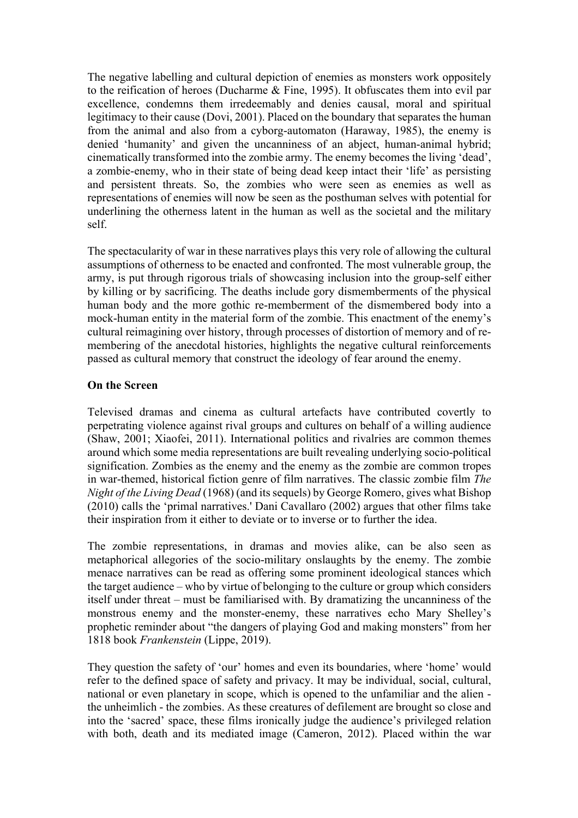The negative labelling and cultural depiction of enemies as monsters work oppositely to the reification of heroes (Ducharme & Fine, 1995). It obfuscates them into evil par excellence, condemns them irredeemably and denies causal, moral and spiritual legitimacy to their cause (Dovi, 2001). Placed on the boundary that separates the human from the animal and also from a cyborg-automaton (Haraway, 1985), the enemy is denied 'humanity' and given the uncanniness of an abject, human-animal hybrid; cinematically transformed into the zombie army. The enemy becomes the living 'dead', a zombie-enemy, who in their state of being dead keep intact their 'life' as persisting and persistent threats. So, the zombies who were seen as enemies as well as representations of enemies will now be seen as the posthuman selves with potential for underlining the otherness latent in the human as well as the societal and the military self.

The spectacularity of war in these narratives plays this very role of allowing the cultural assumptions of otherness to be enacted and confronted. The most vulnerable group, the army, is put through rigorous trials of showcasing inclusion into the group-self either by killing or by sacrificing. The deaths include gory dismemberments of the physical human body and the more gothic re-memberment of the dismembered body into a mock-human entity in the material form of the zombie. This enactment of the enemy's cultural reimagining over history, through processes of distortion of memory and of remembering of the anecdotal histories, highlights the negative cultural reinforcements passed as cultural memory that construct the ideology of fear around the enemy.

#### **On the Screen**

Televised dramas and cinema as cultural artefacts have contributed covertly to perpetrating violence against rival groups and cultures on behalf of a willing audience (Shaw, 2001; Xiaofei, 2011). International politics and rivalries are common themes around which some media representations are built revealing underlying socio-political signification. Zombies as the enemy and the enemy as the zombie are common tropes in war-themed, historical fiction genre of film narratives. The classic zombie film *The Night of the Living Dead* (1968) (and its sequels) by George Romero, gives what Bishop (2010) calls the 'primal narratives.' Dani Cavallaro (2002) argues that other films take their inspiration from it either to deviate or to inverse or to further the idea.

The zombie representations, in dramas and movies alike, can be also seen as metaphorical allegories of the socio-military onslaughts by the enemy. The zombie menace narratives can be read as offering some prominent ideological stances which the target audience – who by virtue of belonging to the culture or group which considers itself under threat – must be familiarised with. By dramatizing the uncanniness of the monstrous enemy and the monster-enemy, these narratives echo Mary Shelley's prophetic reminder about "the dangers of playing God and making monsters" from her 1818 book *Frankenstein* (Lippe, 2019).

They question the safety of 'our' homes and even its boundaries, where 'home' would refer to the defined space of safety and privacy. It may be individual, social, cultural, national or even planetary in scope, which is opened to the unfamiliar and the alien the unheimlich - the zombies. As these creatures of defilement are brought so close and into the 'sacred' space, these films ironically judge the audience's privileged relation with both, death and its mediated image (Cameron, 2012). Placed within the war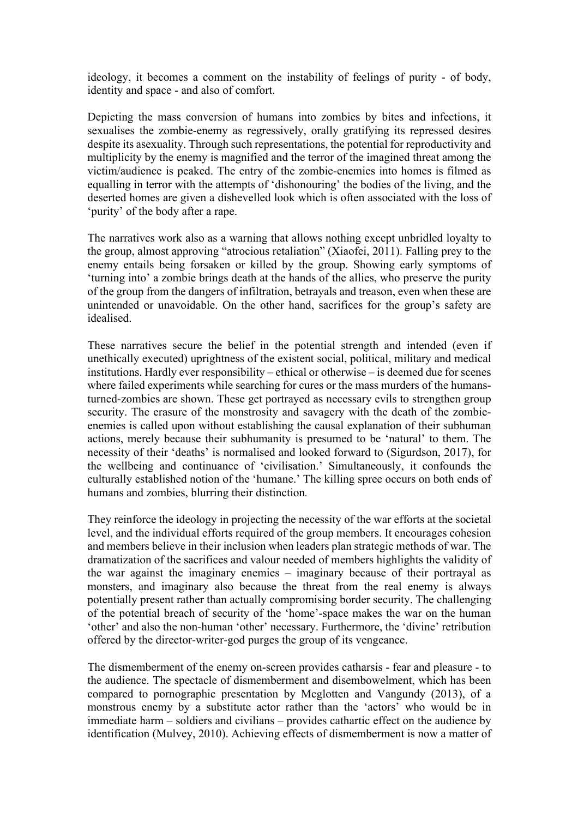ideology, it becomes a comment on the instability of feelings of purity - of body, identity and space - and also of comfort.

Depicting the mass conversion of humans into zombies by bites and infections, it sexualises the zombie-enemy as regressively, orally gratifying its repressed desires despite its asexuality. Through such representations, the potential for reproductivity and multiplicity by the enemy is magnified and the terror of the imagined threat among the victim/audience is peaked. The entry of the zombie-enemies into homes is filmed as equalling in terror with the attempts of 'dishonouring' the bodies of the living, and the deserted homes are given a dishevelled look which is often associated with the loss of 'purity' of the body after a rape.

The narratives work also as a warning that allows nothing except unbridled loyalty to the group, almost approving "atrocious retaliation" (Xiaofei, 2011). Falling prey to the enemy entails being forsaken or killed by the group. Showing early symptoms of 'turning into' a zombie brings death at the hands of the allies, who preserve the purity of the group from the dangers of infiltration, betrayals and treason, even when these are unintended or unavoidable. On the other hand, sacrifices for the group's safety are idealised.

These narratives secure the belief in the potential strength and intended (even if unethically executed) uprightness of the existent social, political, military and medical institutions. Hardly ever responsibility – ethical or otherwise – is deemed due for scenes where failed experiments while searching for cures or the mass murders of the humansturned-zombies are shown. These get portrayed as necessary evils to strengthen group security. The erasure of the monstrosity and savagery with the death of the zombieenemies is called upon without establishing the causal explanation of their subhuman actions, merely because their subhumanity is presumed to be 'natural' to them. The necessity of their 'deaths' is normalised and looked forward to (Sigurdson, 2017), for the wellbeing and continuance of 'civilisation.' Simultaneously, it confounds the culturally established notion of the 'humane.' The killing spree occurs on both ends of humans and zombies, blurring their distinction*.*

They reinforce the ideology in projecting the necessity of the war efforts at the societal level, and the individual efforts required of the group members. It encourages cohesion and members believe in their inclusion when leaders plan strategic methods of war. The dramatization of the sacrifices and valour needed of members highlights the validity of the war against the imaginary enemies – imaginary because of their portrayal as monsters, and imaginary also because the threat from the real enemy is always potentially present rather than actually compromising border security. The challenging of the potential breach of security of the 'home'-space makes the war on the human 'other' and also the non-human 'other' necessary. Furthermore, the 'divine' retribution offered by the director-writer-god purges the group of its vengeance.

The dismemberment of the enemy on-screen provides catharsis - fear and pleasure - to the audience. The spectacle of dismemberment and disembowelment, which has been compared to pornographic presentation by Mcglotten and Vangundy (2013), of a monstrous enemy by a substitute actor rather than the 'actors' who would be in immediate harm – soldiers and civilians – provides cathartic effect on the audience by identification (Mulvey, 2010). Achieving effects of dismemberment is now a matter of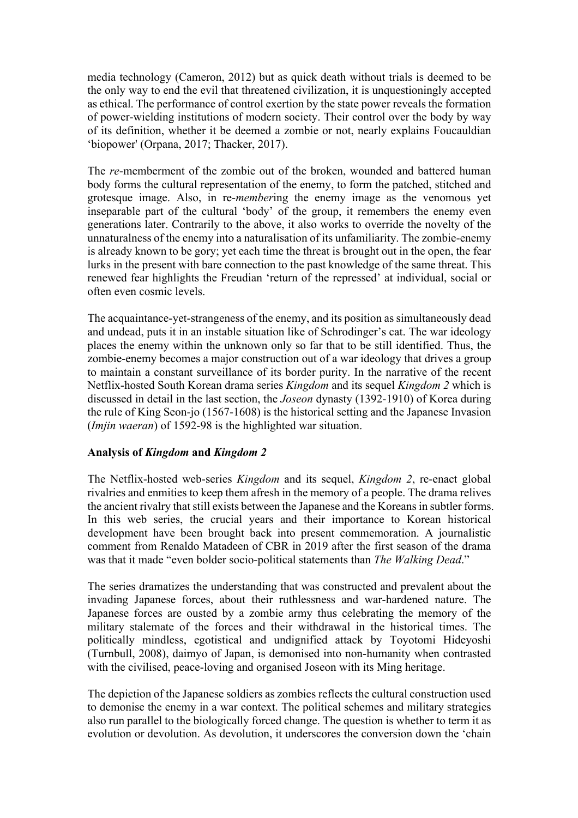media technology (Cameron, 2012) but as quick death without trials is deemed to be the only way to end the evil that threatened civilization, it is unquestioningly accepted as ethical. The performance of control exertion by the state power reveals the formation of power-wielding institutions of modern society. Their control over the body by way of its definition, whether it be deemed a zombie or not, nearly explains Foucauldian 'biopower' (Orpana, 2017; Thacker, 2017).

The *re*-memberment of the zombie out of the broken, wounded and battered human body forms the cultural representation of the enemy, to form the patched, stitched and grotesque image. Also, in re-*member*ing the enemy image as the venomous yet inseparable part of the cultural 'body' of the group, it remembers the enemy even generations later. Contrarily to the above, it also works to override the novelty of the unnaturalness of the enemy into a naturalisation of its unfamiliarity. The zombie-enemy is already known to be gory; yet each time the threat is brought out in the open, the fear lurks in the present with bare connection to the past knowledge of the same threat. This renewed fear highlights the Freudian 'return of the repressed' at individual, social or often even cosmic levels.

The acquaintance-yet-strangeness of the enemy, and its position as simultaneously dead and undead, puts it in an instable situation like of Schrodinger's cat. The war ideology places the enemy within the unknown only so far that to be still identified. Thus, the zombie-enemy becomes a major construction out of a war ideology that drives a group to maintain a constant surveillance of its border purity. In the narrative of the recent Netflix-hosted South Korean drama series *Kingdom* and its sequel *Kingdom 2* which is discussed in detail in the last section, the *Joseon* dynasty (1392-1910) of Korea during the rule of King Seon-jo (1567-1608) is the historical setting and the Japanese Invasion (*Imjin waeran*) of 1592-98 is the highlighted war situation.

## **Analysis of** *Kingdom* **and** *Kingdom 2*

The Netflix-hosted web-series *Kingdom* and its sequel, *Kingdom 2*, re-enact global rivalries and enmities to keep them afresh in the memory of a people. The drama relives the ancient rivalry that still exists between the Japanese and the Koreans in subtler forms. In this web series, the crucial years and their importance to Korean historical development have been brought back into present commemoration. A journalistic comment from Renaldo Matadeen of CBR in 2019 after the first season of the drama was that it made "even bolder socio-political statements than *The Walking Dead*."

The series dramatizes the understanding that was constructed and prevalent about the invading Japanese forces, about their ruthlessness and war-hardened nature. The Japanese forces are ousted by a zombie army thus celebrating the memory of the military stalemate of the forces and their withdrawal in the historical times. The politically mindless, egotistical and undignified attack by Toyotomi Hideyoshi (Turnbull, 2008), daimyo of Japan, is demonised into non-humanity when contrasted with the civilised, peace-loving and organised Joseon with its Ming heritage.

The depiction of the Japanese soldiers as zombies reflects the cultural construction used to demonise the enemy in a war context. The political schemes and military strategies also run parallel to the biologically forced change. The question is whether to term it as evolution or devolution. As devolution, it underscores the conversion down the 'chain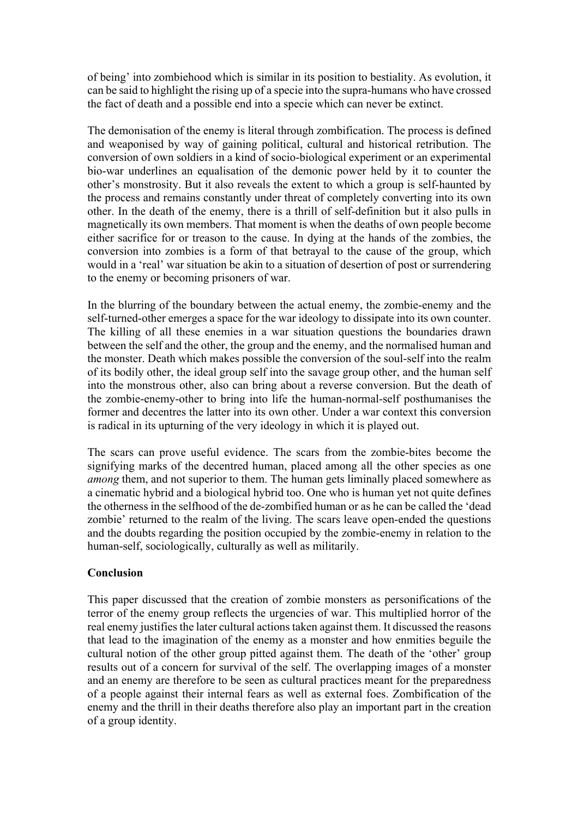of being' into zombiehood which is similar in its position to bestiality. As evolution, it can be said to highlight the rising up of a specie into the supra-humans who have crossed the fact of death and a possible end into a specie which can never be extinct.

The demonisation of the enemy is literal through zombification. The process is defined and weaponised by way of gaining political, cultural and historical retribution. The conversion of own soldiers in a kind of socio-biological experiment or an experimental bio-war underlines an equalisation of the demonic power held by it to counter the other's monstrosity. But it also reveals the extent to which a group is self-haunted by the process and remains constantly under threat of completely converting into its own other. In the death of the enemy, there is a thrill of self-definition but it also pulls in magnetically its own members. That moment is when the deaths of own people become either sacrifice for or treason to the cause. In dying at the hands of the zombies, the conversion into zombies is a form of that betrayal to the cause of the group, which would in a 'real' war situation be akin to a situation of desertion of post or surrendering to the enemy or becoming prisoners of war.

In the blurring of the boundary between the actual enemy, the zombie-enemy and the self-turned-other emerges a space for the war ideology to dissipate into its own counter. The killing of all these enemies in a war situation questions the boundaries drawn between the self and the other, the group and the enemy, and the normalised human and the monster. Death which makes possible the conversion of the soul-self into the realm of its bodily other, the ideal group self into the savage group other, and the human self into the monstrous other, also can bring about a reverse conversion. But the death of the zombie-enemy-other to bring into life the human-normal-self posthumanises the former and decentres the latter into its own other. Under a war context this conversion is radical in its upturning of the very ideology in which it is played out.

The scars can prove useful evidence. The scars from the zombie-bites become the signifying marks of the decentred human, placed among all the other species as one *among* them, and not superior to them. The human gets liminally placed somewhere as a cinematic hybrid and a biological hybrid too. One who is human yet not quite defines the otherness in the selfhood of the de-zombified human or as he can be called the 'dead zombie' returned to the realm of the living. The scars leave open-ended the questions and the doubts regarding the position occupied by the zombie-enemy in relation to the human-self, sociologically, culturally as well as militarily.

## **Conclusion**

This paper discussed that the creation of zombie monsters as personifications of the terror of the enemy group reflects the urgencies of war. This multiplied horror of the real enemy justifies the later cultural actions taken against them. It discussed the reasons that lead to the imagination of the enemy as a monster and how enmities beguile the cultural notion of the other group pitted against them. The death of the 'other' group results out of a concern for survival of the self. The overlapping images of a monster and an enemy are therefore to be seen as cultural practices meant for the preparedness of a people against their internal fears as well as external foes. Zombification of the enemy and the thrill in their deaths therefore also play an important part in the creation of a group identity.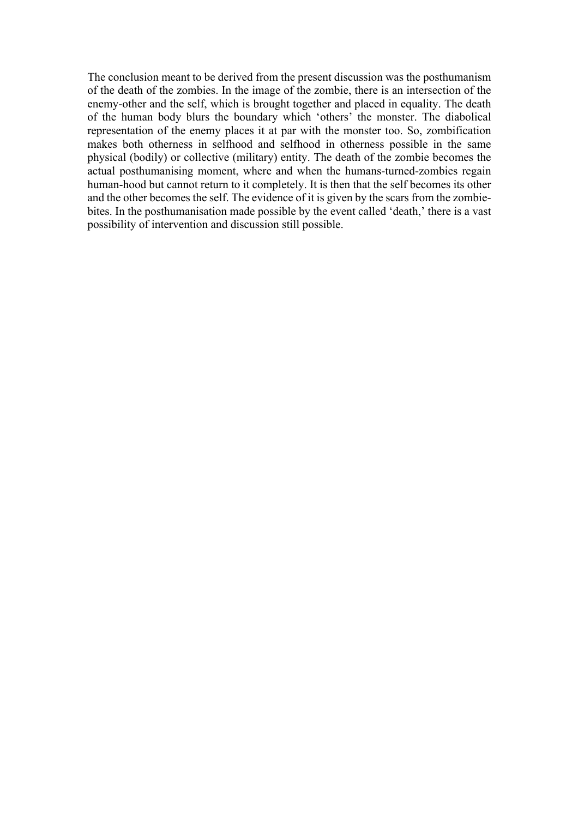The conclusion meant to be derived from the present discussion was the posthumanism of the death of the zombies. In the image of the zombie, there is an intersection of the enemy-other and the self, which is brought together and placed in equality. The death of the human body blurs the boundary which 'others' the monster. The diabolical representation of the enemy places it at par with the monster too. So, zombification makes both otherness in selfhood and selfhood in otherness possible in the same physical (bodily) or collective (military) entity. The death of the zombie becomes the actual posthumanising moment, where and when the humans-turned-zombies regain human-hood but cannot return to it completely. It is then that the self becomes its other and the other becomes the self. The evidence of it is given by the scars from the zombiebites. In the posthumanisation made possible by the event called 'death,' there is a vast possibility of intervention and discussion still possible.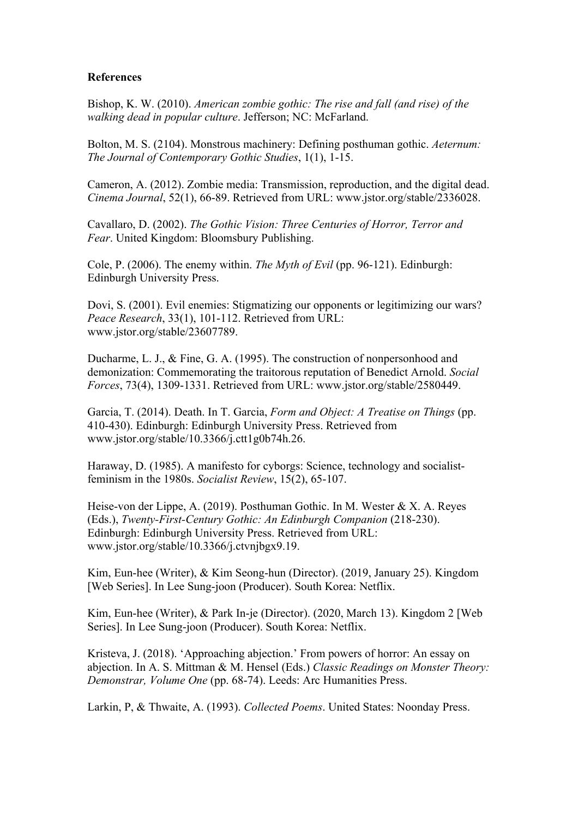#### **References**

Bishop, K. W. (2010). *American zombie gothic: The rise and fall (and rise) of the walking dead in popular culture*. Jefferson; NC: McFarland.

Bolton, M. S. (2104). Monstrous machinery: Defining posthuman gothic. *Aeternum: The Journal of Contemporary Gothic Studies*, 1(1), 1-15.

Cameron, A. (2012). Zombie media: Transmission, reproduction, and the digital dead. *Cinema Journal*, 52(1), 66-89. Retrieved from URL: www.jstor.org/stable/2336028.

Cavallaro, D. (2002). *The Gothic Vision: Three Centuries of Horror, Terror and Fear*. United Kingdom: Bloomsbury Publishing.

Cole, P. (2006). The enemy within. *The Myth of Evil* (pp. 96-121). Edinburgh: Edinburgh University Press.

Dovi, S. (2001). Evil enemies: Stigmatizing our opponents or legitimizing our wars? *Peace Research*, 33(1), 101-112. Retrieved from URL: www.jstor.org/stable/23607789.

Ducharme, L. J., & Fine, G. A. (1995). The construction of nonpersonhood and demonization: Commemorating the traitorous reputation of Benedict Arnold. *Social Forces*, 73(4), 1309-1331. Retrieved from URL: www.jstor.org/stable/2580449.

Garcia, T. (2014). Death. In T. Garcia, *Form and Object: A Treatise on Things* (pp. 410-430). Edinburgh: Edinburgh University Press. Retrieved from www.jstor.org/stable/10.3366/j.ctt1g0b74h.26.

Haraway, D. (1985). A manifesto for cyborgs: Science, technology and socialistfeminism in the 1980s. *Socialist Review*, 15(2), 65-107.

Heise-von der Lippe, A. (2019). Posthuman Gothic. In M. Wester & X. A. Reyes (Eds.), *Twenty-First-Century Gothic: An Edinburgh Companion* (218-230). Edinburgh: Edinburgh University Press. Retrieved from URL: www.jstor.org/stable/10.3366/j.ctvnjbgx9.19.

Kim, Eun-hee (Writer), & Kim Seong-hun (Director). (2019, January 25). Kingdom [Web Series]. In Lee Sung-joon (Producer). South Korea: Netflix.

Kim, Eun-hee (Writer), & Park In-je (Director). (2020, March 13). Kingdom 2 [Web Series]. In Lee Sung-joon (Producer). South Korea: Netflix.

Kristeva, J. (2018). 'Approaching abjection.' From powers of horror: An essay on abjection. In A. S. Mittman & M. Hensel (Eds.) *Classic Readings on Monster Theory: Demonstrar, Volume One* (pp. 68-74). Leeds: Arc Humanities Press.

Larkin, P, & Thwaite, A. (1993). *Collected Poems*. United States: Noonday Press.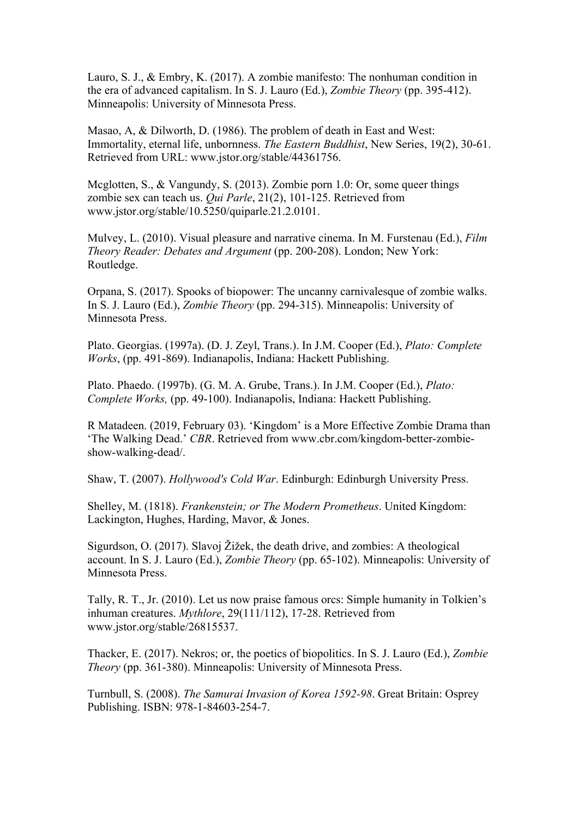Lauro, S. J., & Embry, K. (2017). A zombie manifesto: The nonhuman condition in the era of advanced capitalism. In S. J. Lauro (Ed.), *Zombie Theory* (pp. 395-412). Minneapolis: University of Minnesota Press.

Masao, A, & Dilworth, D. (1986). The problem of death in East and West: Immortality, eternal life, unbornness. *The Eastern Buddhist*, New Series, 19(2), 30-61. Retrieved from URL: www.jstor.org/stable/44361756.

Mcglotten, S., & Vangundy, S. (2013). Zombie porn 1.0: Or, some queer things zombie sex can teach us. *Qui Parle*, 21(2), 101-125. Retrieved from www.jstor.org/stable/10.5250/quiparle.21.2.0101.

Mulvey, L. (2010). Visual pleasure and narrative cinema. In M. Furstenau (Ed.), *Film Theory Reader: Debates and Argument* (pp. 200-208). London; New York: Routledge.

Orpana, S. (2017). Spooks of biopower: The uncanny carnivalesque of zombie walks. In S. J. Lauro (Ed.), *Zombie Theory* (pp. 294-315). Minneapolis: University of Minnesota Press.

Plato. Georgias. (1997a). (D. J. Zeyl, Trans.). In J.M. Cooper (Ed.), *Plato: Complete Works*, (pp. 491-869). Indianapolis, Indiana: Hackett Publishing.

Plato. Phaedo. (1997b). (G. M. A. Grube, Trans.). In J.M. Cooper (Ed.), *Plato: Complete Works,* (pp. 49-100). Indianapolis, Indiana: Hackett Publishing.

R Matadeen. (2019, February 03). 'Kingdom' is a More Effective Zombie Drama than 'The Walking Dead.' *CBR*. Retrieved from www.cbr.com/kingdom-better-zombieshow-walking-dead/.

Shaw, T. (2007). *Hollywood's Cold War*. Edinburgh: Edinburgh University Press.

Shelley, M. (1818). *Frankenstein; or The Modern Prometheus*. United Kingdom: Lackington, Hughes, Harding, Mavor, & Jones.

Sigurdson, O. (2017). Slavoj Žižek, the death drive, and zombies: A theological account. In S. J. Lauro (Ed.), *Zombie Theory* (pp. 65-102). Minneapolis: University of Minnesota Press.

Tally, R. T., Jr. (2010). Let us now praise famous orcs: Simple humanity in Tolkien's inhuman creatures. *Mythlore*, 29(111/112), 17-28. Retrieved from www.jstor.org/stable/26815537.

Thacker, E. (2017). Nekros; or, the poetics of biopolitics. In S. J. Lauro (Ed.), *Zombie Theory* (pp. 361-380). Minneapolis: University of Minnesota Press.

Turnbull, S. (2008). *The Samurai Invasion of Korea 1592-98*. Great Britain: Osprey Publishing. ISBN: 978-1-84603-254-7.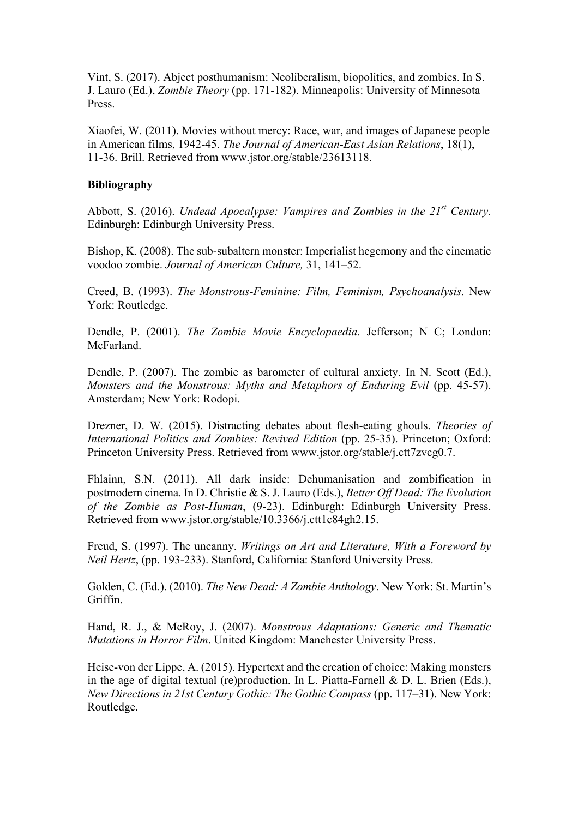Vint, S. (2017). Abject posthumanism: Neoliberalism, biopolitics, and zombies. In S. J. Lauro (Ed.), *Zombie Theory* (pp. 171-182). Minneapolis: University of Minnesota Press.

Xiaofei, W. (2011). Movies without mercy: Race, war, and images of Japanese people in American films, 1942-45. *The Journal of American-East Asian Relations*, 18(1), 11-36. Brill. Retrieved from www.jstor.org/stable/23613118.

#### **Bibliography**

Abbott, S. (2016). *Undead Apocalypse: Vampires and Zombies in the 21st Century.* Edinburgh: Edinburgh University Press.

Bishop, K. (2008). The sub-subaltern monster: Imperialist hegemony and the cinematic voodoo zombie. *Journal of American Culture,* 31, 141–52.

Creed, B. (1993). *The Monstrous-Feminine: Film, Feminism, Psychoanalysis*. New York: Routledge.

Dendle, P. (2001). *The Zombie Movie Encyclopaedia*. Jefferson; N C; London: McFarland.

Dendle, P. (2007). The zombie as barometer of cultural anxiety. In N. Scott (Ed.), *Monsters and the Monstrous: Myths and Metaphors of Enduring Evil* (pp. 45-57). Amsterdam; New York: Rodopi.

Drezner, D. W. (2015). Distracting debates about flesh-eating ghouls. *Theories of International Politics and Zombies: Revived Edition* (pp. 25-35). Princeton; Oxford: Princeton University Press. Retrieved from www.jstor.org/stable/j.ctt7zvcg0.7.

Fhlainn, S.N. (2011). All dark inside: Dehumanisation and zombification in postmodern cinema. In D. Christie & S. J. Lauro (Eds.), *Better Off Dead: The Evolution of the Zombie as Post-Human*, (9-23). Edinburgh: Edinburgh University Press. Retrieved from www.jstor.org/stable/10.3366/j.ctt1c84gh2.15.

Freud, S. (1997). The uncanny. *Writings on Art and Literature, With a Foreword by Neil Hertz*, (pp. 193-233). Stanford, California: Stanford University Press.

Golden, C. (Ed.). (2010). *The New Dead: A Zombie Anthology*. New York: St. Martin's Griffin.

Hand, R. J., & McRoy, J. (2007). *Monstrous Adaptations: Generic and Thematic Mutations in Horror Film*. United Kingdom: Manchester University Press.

Heise-von der Lippe, A. (2015). Hypertext and the creation of choice: Making monsters in the age of digital textual (re)production. In L. Piatta-Farnell & D. L. Brien (Eds.), *New Directions in 21st Century Gothic: The Gothic Compass (pp. 117–31). New York:* Routledge.